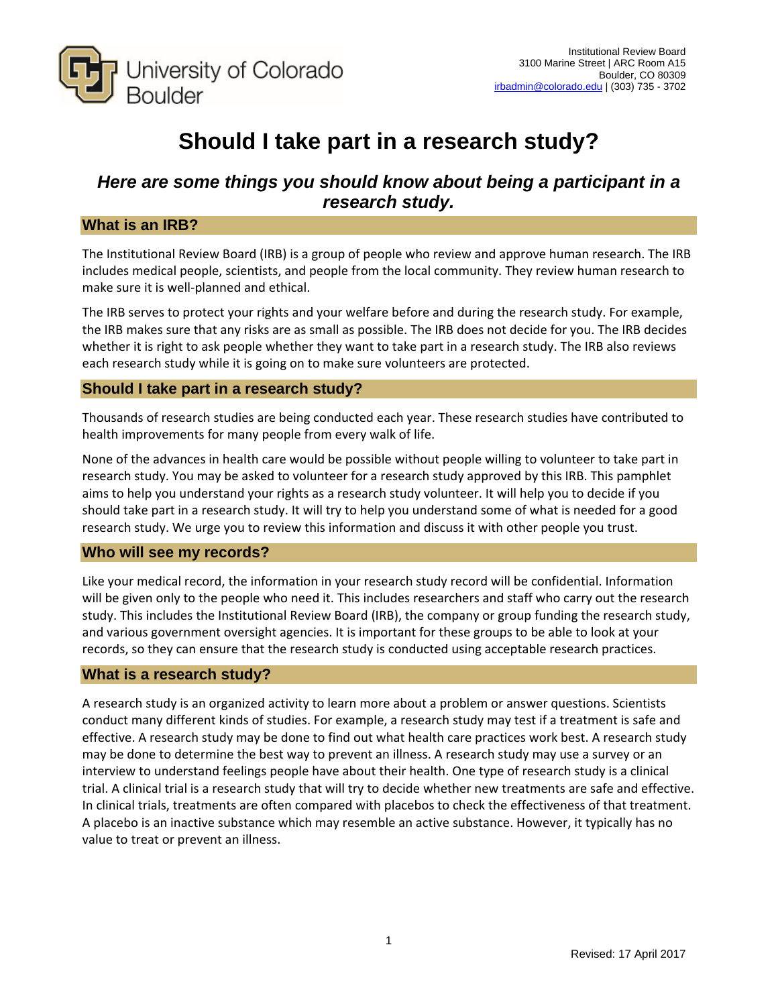

# **Should I take part in a research study?**

# *Here are some things you should know about being a participant in a research study.*

# **What is an IRB?**

The Institutional Review Board (IRB) is a group of people who review and approve human research. The IRB includes medical people, scientists, and people from the local community. They review human research to make sure it is well‐planned and ethical.

The IRB serves to protect your rights and your welfare before and during the research study. For example, the IRB makes sure that any risks are as small as possible. The IRB does not decide for you. The IRB decides whether it is right to ask people whether they want to take part in a research study. The IRB also reviews each research study while it is going on to make sure volunteers are protected.

# **Should I take part in a research study?**

Thousands of research studies are being conducted each year. These research studies have contributed to health improvements for many people from every walk of life.

None of the advances in health care would be possible without people willing to volunteer to take part in research study. You may be asked to volunteer for a research study approved by this IRB. This pamphlet aims to help you understand your rights as a research study volunteer. It will help you to decide if you should take part in a research study. It will try to help you understand some of what is needed for a good research study. We urge you to review this information and discuss it with other people you trust.

# **Who will see my records?**

Like your medical record, the information in your research study record will be confidential. Information will be given only to the people who need it. This includes researchers and staff who carry out the research study. This includes the Institutional Review Board (IRB), the company or group funding the research study, and various government oversight agencies. It is important for these groups to be able to look at your records, so they can ensure that the research study is conducted using acceptable research practices.

# **What is a research study?**

A research study is an organized activity to learn more about a problem or answer questions. Scientists conduct many different kinds of studies. For example, a research study may test if a treatment is safe and effective. A research study may be done to find out what health care practices work best. A research study may be done to determine the best way to prevent an illness. A research study may use a survey or an interview to understand feelings people have about their health. One type of research study is a clinical trial. A clinical trial is a research study that will try to decide whether new treatments are safe and effective. In clinical trials, treatments are often compared with placebos to check the effectiveness of that treatment. A placebo is an inactive substance which may resemble an active substance. However, it typically has no value to treat or prevent an illness.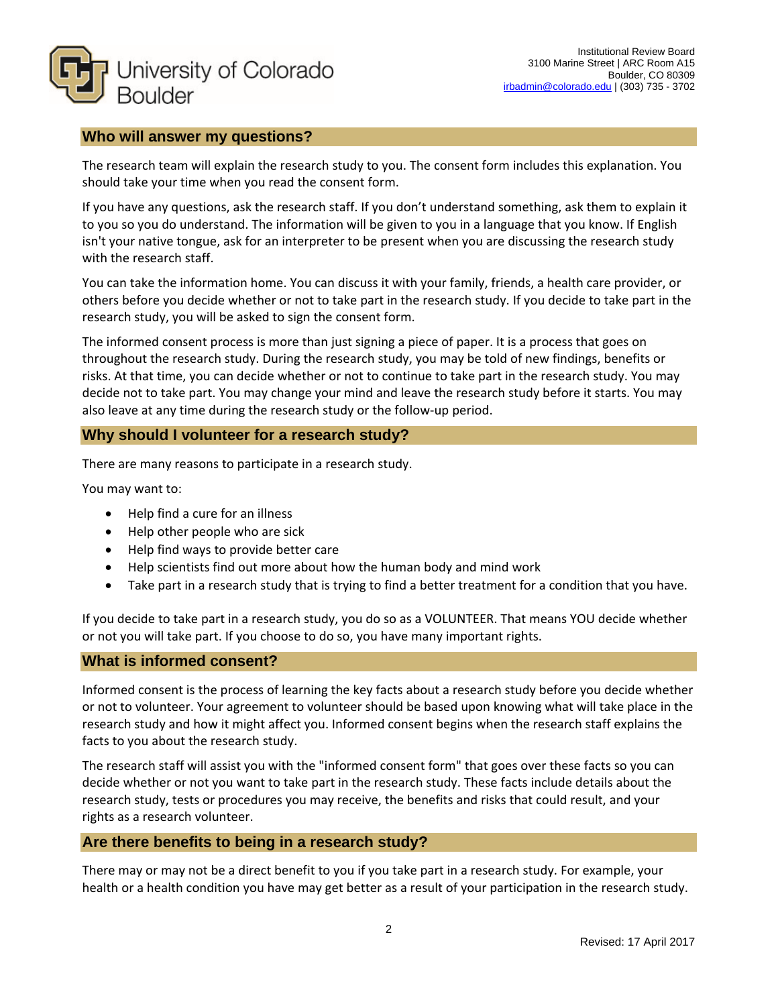

# **Who will answer my questions?**

The research team will explain the research study to you. The consent form includes this explanation. You should take your time when you read the consent form.

If you have any questions, ask the research staff. If you don't understand something, ask them to explain it to you so you do understand. The information will be given to you in a language that you know. If English isn't your native tongue, ask for an interpreter to be present when you are discussing the research study with the research staff.

You can take the information home. You can discuss it with your family, friends, a health care provider, or others before you decide whether or not to take part in the research study. If you decide to take part in the research study, you will be asked to sign the consent form.

The informed consent process is more than just signing a piece of paper. It is a process that goes on throughout the research study. During the research study, you may be told of new findings, benefits or risks. At that time, you can decide whether or not to continue to take part in the research study. You may decide not to take part. You may change your mind and leave the research study before it starts. You may also leave at any time during the research study or the follow‐up period.

# **Why should I volunteer for a research study?**

There are many reasons to participate in a research study.

You may want to:

- Help find a cure for an illness
- Help other people who are sick
- Help find ways to provide better care
- Help scientists find out more about how the human body and mind work
- Take part in a research study that is trying to find a better treatment for a condition that you have.

If you decide to take part in a research study, you do so as a VOLUNTEER. That means YOU decide whether or not you will take part. If you choose to do so, you have many important rights.

#### **What is informed consent?**

Informed consent is the process of learning the key facts about a research study before you decide whether or not to volunteer. Your agreement to volunteer should be based upon knowing what will take place in the research study and how it might affect you. Informed consent begins when the research staff explains the facts to you about the research study.

The research staff will assist you with the "informed consent form" that goes over these facts so you can decide whether or not you want to take part in the research study. These facts include details about the research study, tests or procedures you may receive, the benefits and risks that could result, and your rights as a research volunteer.

#### **Are there benefits to being in a research study?**

There may or may not be a direct benefit to you if you take part in a research study. For example, your health or a health condition you have may get better as a result of your participation in the research study.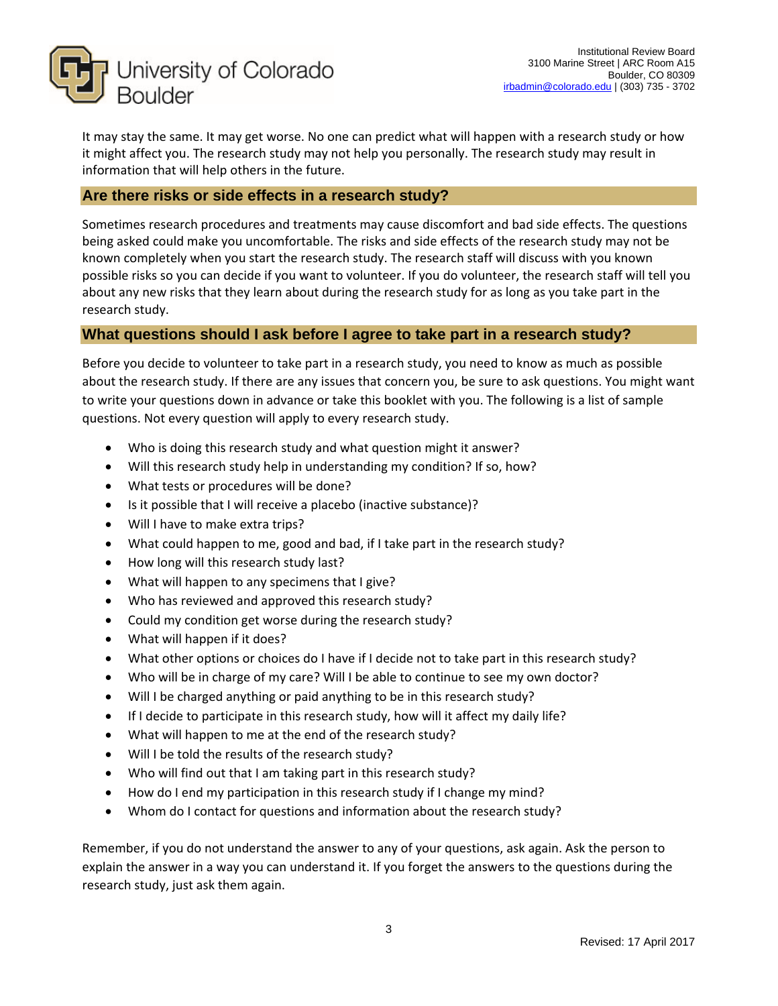

It may stay the same. It may get worse. No one can predict what will happen with a research study or how it might affect you. The research study may not help you personally. The research study may result in information that will help others in the future.

# **Are there risks or side effects in a research study?**

Sometimes research procedures and treatments may cause discomfort and bad side effects. The questions being asked could make you uncomfortable. The risks and side effects of the research study may not be known completely when you start the research study. The research staff will discuss with you known possible risks so you can decide if you want to volunteer. If you do volunteer, the research staff will tell you about any new risks that they learn about during the research study for as long as you take part in the research study.

# **What questions should I ask before I agree to take part in a research study?**

Before you decide to volunteer to take part in a research study, you need to know as much as possible about the research study. If there are any issues that concern you, be sure to ask questions. You might want to write your questions down in advance or take this booklet with you. The following is a list of sample questions. Not every question will apply to every research study.

- Who is doing this research study and what question might it answer?
- Will this research study help in understanding my condition? If so, how?
- What tests or procedures will be done?
- Is it possible that I will receive a placebo (inactive substance)?
- Will I have to make extra trips?
- What could happen to me, good and bad, if I take part in the research study?
- How long will this research study last?
- What will happen to any specimens that I give?
- Who has reviewed and approved this research study?
- Could my condition get worse during the research study?
- What will happen if it does?
- What other options or choices do I have if I decide not to take part in this research study?
- Who will be in charge of my care? Will I be able to continue to see my own doctor?
- Will I be charged anything or paid anything to be in this research study?
- If I decide to participate in this research study, how will it affect my daily life?
- What will happen to me at the end of the research study?
- Will I be told the results of the research study?
- Who will find out that I am taking part in this research study?
- How do I end my participation in this research study if I change my mind?
- Whom do I contact for questions and information about the research study?

Remember, if you do not understand the answer to any of your questions, ask again. Ask the person to explain the answer in a way you can understand it. If you forget the answers to the questions during the research study, just ask them again.